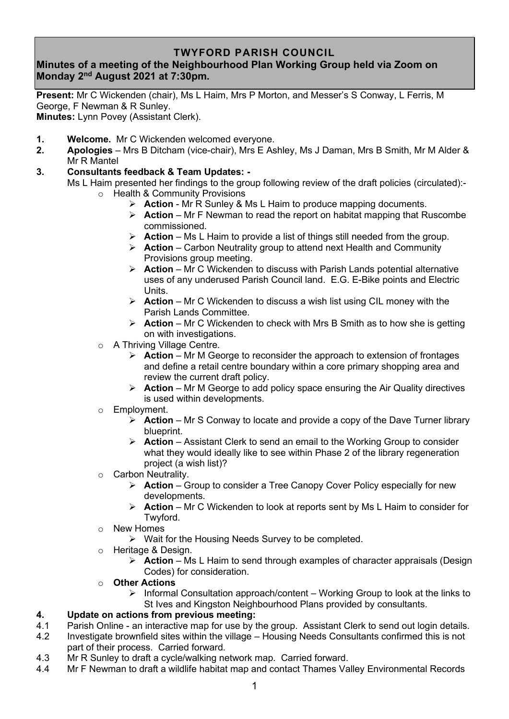## **TWYFORD PARISH COUNCIL**

# **Minutes of a meeting of the Neighbourhood Plan Working Group held via Zoom on Monday 2 nd August 2021 at 7:30pm.**

**Present:** Mr C Wickenden (chair), Ms L Haim, Mrs P Morton, and Messer's S Conway, L Ferris, M George, F Newman & R Sunley.

**Minutes:** Lynn Povey (Assistant Clerk).

- **1. Welcome.** Mr C Wickenden welcomed everyone.
- **2. Apologies** Mrs B Ditcham (vice-chair), Mrs E Ashley, Ms J Daman, Mrs B Smith, Mr M Alder & Mr R Mantel
- **3. Consultants feedback & Team Updates: -**
	- Ms L Haim presented her findings to the group following review of the draft policies (circulated): o Health & Community Provisions
		- ➢ **Action** Mr R Sunley & Ms L Haim to produce mapping documents.
		- ➢ **Action** Mr F Newman to read the report on habitat mapping that Ruscombe commissioned.
		- ➢ **Action** Ms L Haim to provide a list of things still needed from the group.
		- ➢ **Action** Carbon Neutrality group to attend next Health and Community Provisions group meeting.
		- ➢ **Action**  Mr C Wickenden to discuss with Parish Lands potential alternative uses of any underused Parish Council land. E.G. E-Bike points and Electric Units.
		- ➢ **Action**  Mr C Wickenden to discuss a wish list using CIL money with the Parish Lands Committee.
		- ➢ **Action**  Mr C Wickenden to check with Mrs B Smith as to how she is getting on with investigations.
		- o A Thriving Village Centre.
			- ➢ **Action** Mr M George to reconsider the approach to extension of frontages and define a retail centre boundary within a core primary shopping area and review the current draft policy.
			- ➢ **Action**  Mr M George to add policy space ensuring the Air Quality directives is used within developments.
		- o Employment.
			- ➢ **Action** Mr S Conway to locate and provide a copy of the Dave Turner library blueprint.
			- ➢ **Action**  Assistant Clerk to send an email to the Working Group to consider what they would ideally like to see within Phase 2 of the library regeneration project (a wish list)?
		- o Carbon Neutrality.
			- ➢ **Action** Group to consider a Tree Canopy Cover Policy especially for new developments.
			- ➢ **Action**  Mr C Wickenden to look at reports sent by Ms L Haim to consider for Twyford.
		- o New Homes
			- ➢ Wait for the Housing Needs Survey to be completed.
		- o Heritage & Design.
			- ➢ **Action** Ms L Haim to send through examples of character appraisals (Design Codes) for consideration.
		- o **Other Actions**
			- $\triangleright$  Informal Consultation approach/content Working Group to look at the links to St Ives and Kingston Neighbourhood Plans provided by consultants.

### **4. Update on actions from previous meeting:**

- 4.1 Parish Online an interactive map for use by the group. Assistant Clerk to send out login details. 4.2 Investigate brownfield sites within the village – Housing Needs Consultants confirmed this is not
- part of their process. Carried forward.
- 4.3 Mr R Sunley to draft a cycle/walking network map. Carried forward.
- 4.4 Mr F Newman to draft a wildlife habitat map and contact Thames Valley Environmental Records